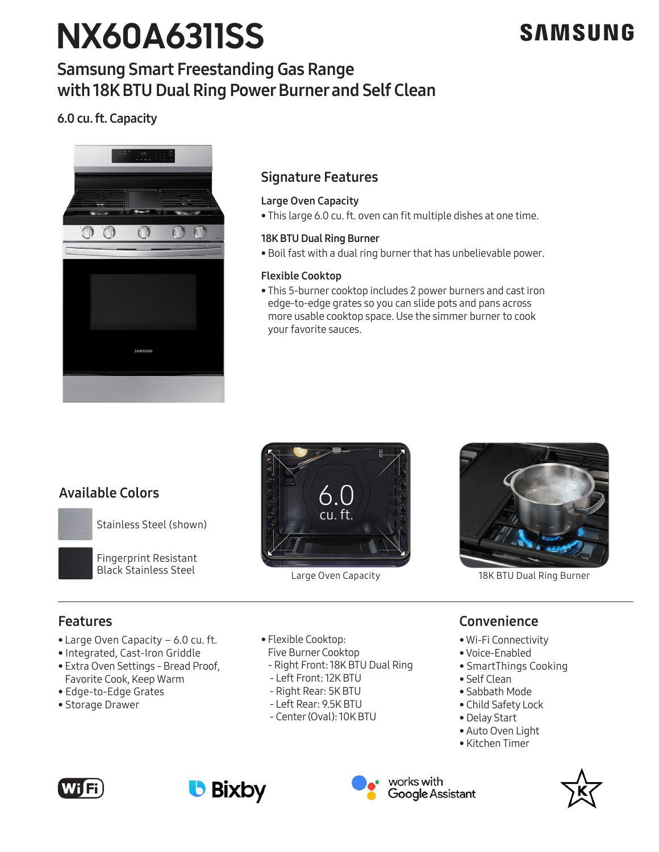# **NX60A6311SS**

## **SAMSUNG**

## Samsung Smart Freestanding Gas Range with 18K BTU Dual Ring Power Burner and Self Clean

## 6.0 cu. ft. Capacity



## Signature Features

## Large Oven Capacity

• This large 6.0 cu. ft. oven can fit multiple dishes at one time.

### 18K BTU Dual Ring Burner

• Boil fast with a dual ring burner that has unbelievable power.

## Flexible Cooktop

• This 5-burner cooktop includes 2 power burners and cast iron edge-to-edge grates so you can slide pots and pans across more usable cooktop space. Use the simmer burner to cook your favorite sauces.

## Available Colors

Stainless Steel (shown)



Fingerprint Resistant Black Stainless Steel







Large Oven Capacity 18K BTU Dual Ring Burner

## Features

- Large Oven Capacity 6.0 cu. ft.
- Integrated, Cast-Iron Griddle
- Extra Oven Settings Bread Proof, Favorite Cook, Keep Warm
- Edge-to-Edge Grates
- Storage Drawer
- Flexible Cooktop:
- Five Burner Cooktop
- Right Front: 18K BTU Dual Ring
- Left Front: 12K BTU
- Right Rear: 5K BTU
- Left Rear: 9.5K BTU
- Center (Oval): 10K BTU

## Convenience

- Wi-Fi Connectivity
- Voice-Enabled
- SmartThings Cooking
- Self Clean
- Sabbath Mode
- Child Safety Lock
- Delay Start
- Auto Oven Light
- Kitchen Timer